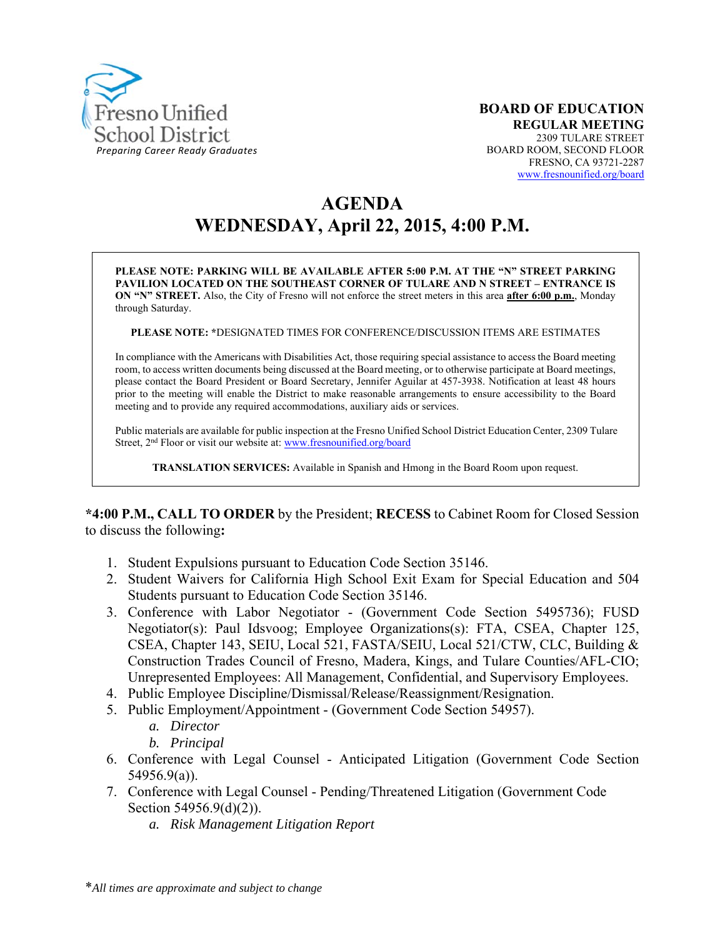

# **AGENDA WEDNESDAY, April 22, 2015, 4:00 P.M.**

**PLEASE NOTE: PARKING WILL BE AVAILABLE AFTER 5:00 P.M. AT THE "N" STREET PARKING PAVILION LOCATED ON THE SOUTHEAST CORNER OF TULARE AND N STREET – ENTRANCE IS ON "N" STREET.** Also, the City of Fresno will not enforce the street meters in this area **after 6:00 p.m.**, Monday through Saturday.

**PLEASE NOTE: \***DESIGNATED TIMES FOR CONFERENCE/DISCUSSION ITEMS ARE ESTIMATES

In compliance with the Americans with Disabilities Act, those requiring special assistance to access the Board meeting room, to access written documents being discussed at the Board meeting, or to otherwise participate at Board meetings, please contact the Board President or Board Secretary, Jennifer Aguilar at 457-3938. Notification at least 48 hours prior to the meeting will enable the District to make reasonable arrangements to ensure accessibility to the Board meeting and to provide any required accommodations, auxiliary aids or services.

Public materials are available for public inspection at the Fresno Unified School District Education Center, 2309 Tulare Street, 2<sup>nd</sup> Floor or visit our website at: www.fresnounified.org/board

**TRANSLATION SERVICES:** Available in Spanish and Hmong in the Board Room upon request.

**\*4:00 P.M., CALL TO ORDER** by the President; **RECESS** to Cabinet Room for Closed Session to discuss the following**:** 

- 1. Student Expulsions pursuant to Education Code Section 35146.
- 2. Student Waivers for California High School Exit Exam for Special Education and 504 Students pursuant to Education Code Section 35146.
- 3. Conference with Labor Negotiator (Government Code Section 5495736); FUSD Negotiator(s): Paul Idsvoog; Employee Organizations(s): FTA, CSEA, Chapter 125, CSEA, Chapter 143, SEIU, Local 521, FASTA/SEIU, Local 521/CTW, CLC, Building & Construction Trades Council of Fresno, Madera, Kings, and Tulare Counties/AFL-CIO; Unrepresented Employees: All Management, Confidential, and Supervisory Employees.
- 4. Public Employee Discipline/Dismissal/Release/Reassignment/Resignation.
- 5. Public Employment/Appointment (Government Code Section 54957).
	- *a. Director*
	- *b. Principal*
- 6. Conference with Legal Counsel Anticipated Litigation (Government Code Section 54956.9(a)).
- 7. Conference with Legal Counsel Pending/Threatened Litigation (Government Code Section 54956.9(d)(2)).
	- *a. Risk Management Litigation Report*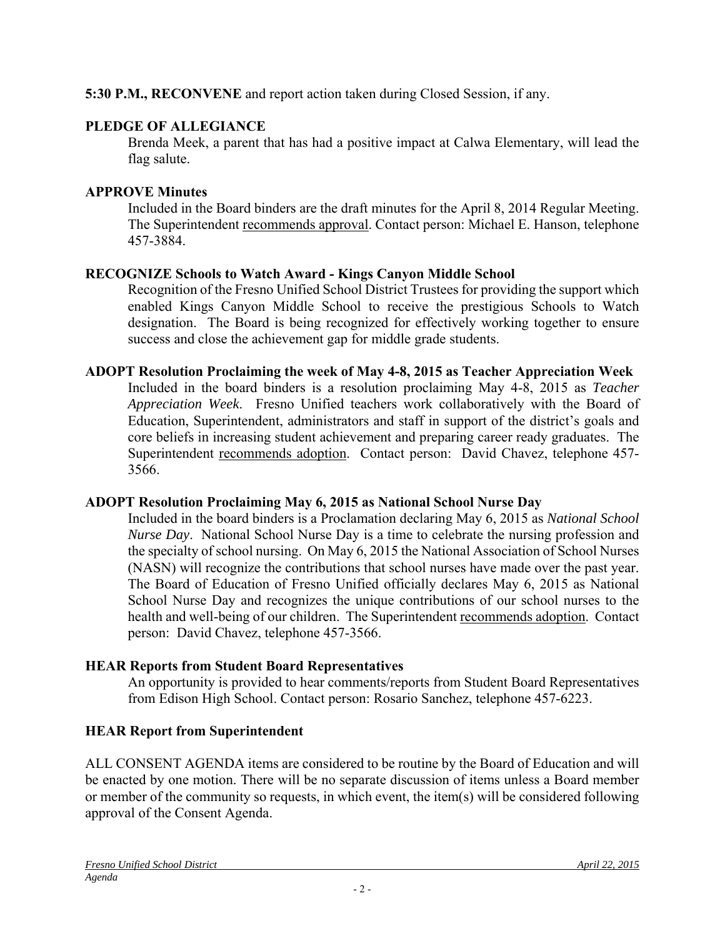## **5:30 P.M., RECONVENE** and report action taken during Closed Session, if any.

### **PLEDGE OF ALLEGIANCE**

Brenda Meek, a parent that has had a positive impact at Calwa Elementary, will lead the flag salute.

#### **APPROVE Minutes**

Included in the Board binders are the draft minutes for the April 8, 2014 Regular Meeting. The Superintendent recommends approval. Contact person: Michael E. Hanson, telephone 457-3884.

#### **RECOGNIZE Schools to Watch Award - Kings Canyon Middle School**

Recognition of the Fresno Unified School District Trustees for providing the support which enabled Kings Canyon Middle School to receive the prestigious Schools to Watch designation. The Board is being recognized for effectively working together to ensure success and close the achievement gap for middle grade students.

#### **ADOPT Resolution Proclaiming the week of May 4-8, 2015 as Teacher Appreciation Week**

Included in the board binders is a resolution proclaiming May 4-8, 2015 as *Teacher Appreciation Week*. Fresno Unified teachers work collaboratively with the Board of Education, Superintendent, administrators and staff in support of the district's goals and core beliefs in increasing student achievement and preparing career ready graduates. The Superintendent recommends adoption. Contact person: David Chavez, telephone 457- 3566.

#### **ADOPT Resolution Proclaiming May 6, 2015 as National School Nurse Day**

Included in the board binders is a Proclamation declaring May 6, 2015 as *National School Nurse Day*. National School Nurse Day is a time to celebrate the nursing profession and the specialty of school nursing. On May 6, 2015 the National Association of School Nurses (NASN) will recognize the contributions that school nurses have made over the past year. The Board of Education of Fresno Unified officially declares May 6, 2015 as National School Nurse Day and recognizes the unique contributions of our school nurses to the health and well-being of our children. The Superintendent recommends adoption. Contact person: David Chavez, telephone 457-3566.

#### **HEAR Reports from Student Board Representatives**

An opportunity is provided to hear comments/reports from Student Board Representatives from Edison High School. Contact person: Rosario Sanchez, telephone 457-6223.

## **HEAR Report from Superintendent**

ALL CONSENT AGENDA items are considered to be routine by the Board of Education and will be enacted by one motion. There will be no separate discussion of items unless a Board member or member of the community so requests, in which event, the item(s) will be considered following approval of the Consent Agenda.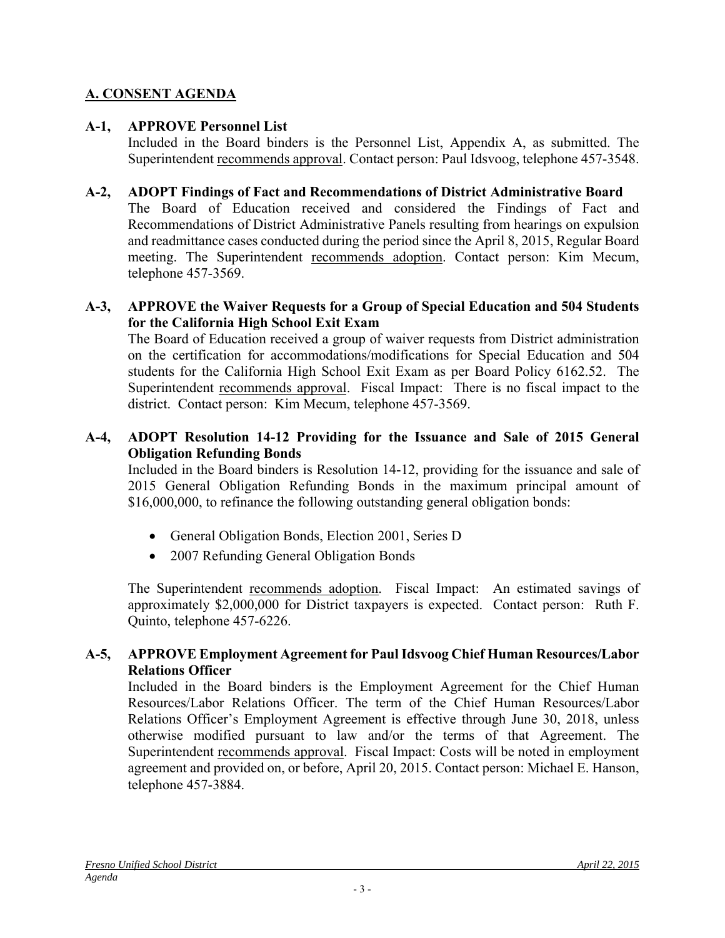# **A. CONSENT AGENDA**

### **A-1, APPROVE Personnel List**

Included in the Board binders is the Personnel List, Appendix A, as submitted. The Superintendent recommends approval. Contact person: Paul Idsvoog, telephone 457-3548.

#### **A-2, ADOPT Findings of Fact and Recommendations of District Administrative Board**

The Board of Education received and considered the Findings of Fact and Recommendations of District Administrative Panels resulting from hearings on expulsion and readmittance cases conducted during the period since the April 8, 2015, Regular Board meeting. The Superintendent recommends adoption. Contact person: Kim Mecum, telephone 457-3569.

#### **A-3, APPROVE the Waiver Requests for a Group of Special Education and 504 Students for the California High School Exit Exam**

The Board of Education received a group of waiver requests from District administration on the certification for accommodations/modifications for Special Education and 504 students for the California High School Exit Exam as per Board Policy 6162.52. The Superintendent recommends approval. Fiscal Impact: There is no fiscal impact to the district. Contact person: Kim Mecum, telephone 457-3569.

### **A-4, ADOPT Resolution 14-12 Providing for the Issuance and Sale of 2015 General Obligation Refunding Bonds**

Included in the Board binders is Resolution 14-12, providing for the issuance and sale of 2015 General Obligation Refunding Bonds in the maximum principal amount of \$16,000,000, to refinance the following outstanding general obligation bonds:

- General Obligation Bonds, Election 2001, Series D
- 2007 Refunding General Obligation Bonds

The Superintendent recommends adoption. Fiscal Impact: An estimated savings of approximately \$2,000,000 for District taxpayers is expected. Contact person: Ruth F. Quinto, telephone 457-6226.

#### **A-5, APPROVE Employment Agreement for Paul Idsvoog Chief Human Resources/Labor Relations Officer**

Included in the Board binders is the Employment Agreement for the Chief Human Resources/Labor Relations Officer. The term of the Chief Human Resources/Labor Relations Officer's Employment Agreement is effective through June 30, 2018, unless otherwise modified pursuant to law and/or the terms of that Agreement. The Superintendent recommends approval. Fiscal Impact: Costs will be noted in employment agreement and provided on, or before, April 20, 2015. Contact person: Michael E. Hanson, telephone 457-3884.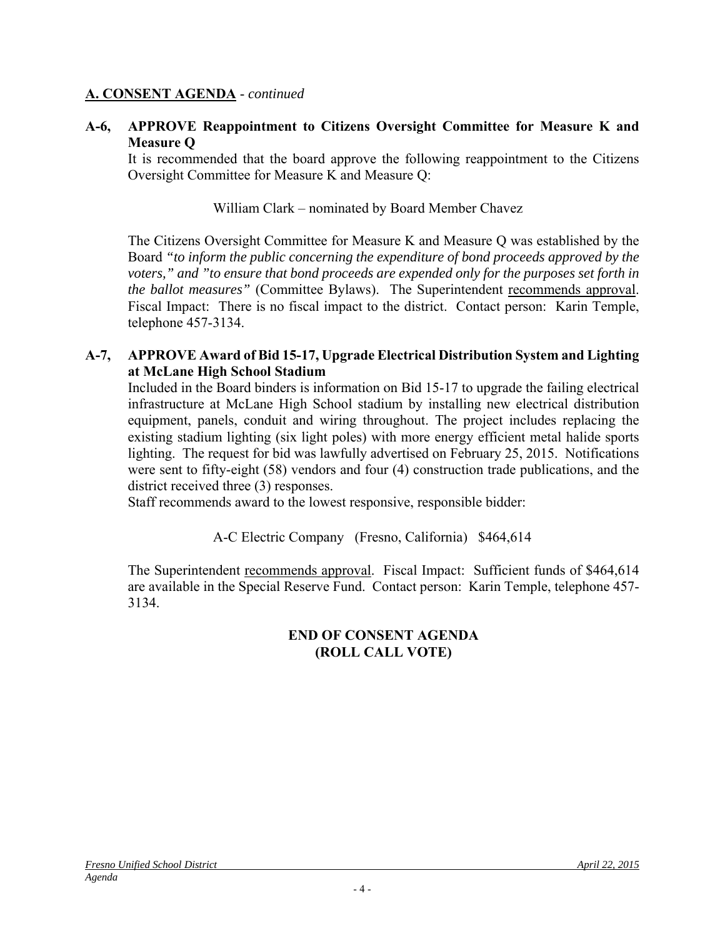#### **A. CONSENT AGENDA** - *continued*

#### **A-6, APPROVE Reappointment to Citizens Oversight Committee for Measure K and Measure Q**

It is recommended that the board approve the following reappointment to the Citizens Oversight Committee for Measure K and Measure Q:

William Clark – nominated by Board Member Chavez

The Citizens Oversight Committee for Measure K and Measure Q was established by the Board *"to inform the public concerning the expenditure of bond proceeds approved by the voters," and "to ensure that bond proceeds are expended only for the purposes set forth in the ballot measures"* (Committee Bylaws). The Superintendent recommends approval. Fiscal Impact: There is no fiscal impact to the district. Contact person: Karin Temple, telephone 457-3134.

#### **A-7, APPROVE Award of Bid 15-17, Upgrade Electrical Distribution System and Lighting at McLane High School Stadium**

Included in the Board binders is information on Bid 15-17 to upgrade the failing electrical infrastructure at McLane High School stadium by installing new electrical distribution equipment, panels, conduit and wiring throughout. The project includes replacing the existing stadium lighting (six light poles) with more energy efficient metal halide sports lighting. The request for bid was lawfully advertised on February 25, 2015. Notifications were sent to fifty-eight (58) vendors and four (4) construction trade publications, and the district received three (3) responses.

Staff recommends award to the lowest responsive, responsible bidder:

#### A-C Electric Company (Fresno, California) \$464,614

The Superintendent recommends approval. Fiscal Impact: Sufficient funds of \$464,614 are available in the Special Reserve Fund. Contact person: Karin Temple, telephone 457- 3134.

#### **END OF CONSENT AGENDA (ROLL CALL VOTE)**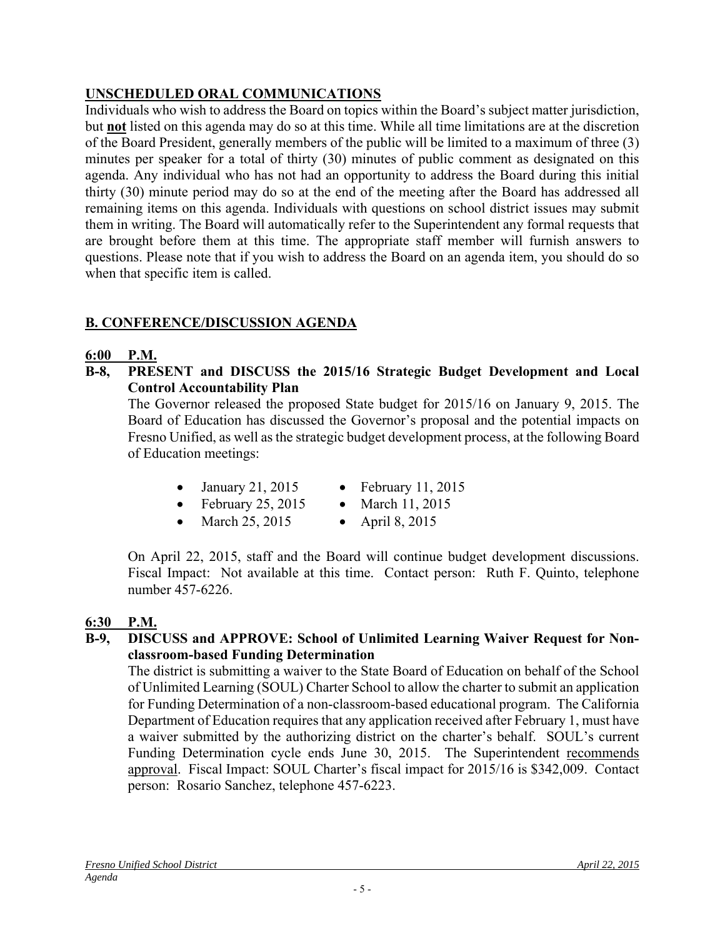# **UNSCHEDULED ORAL COMMUNICATIONS**

Individuals who wish to address the Board on topics within the Board's subject matter jurisdiction, but **not** listed on this agenda may do so at this time. While all time limitations are at the discretion of the Board President, generally members of the public will be limited to a maximum of three (3) minutes per speaker for a total of thirty (30) minutes of public comment as designated on this agenda. Any individual who has not had an opportunity to address the Board during this initial thirty (30) minute period may do so at the end of the meeting after the Board has addressed all remaining items on this agenda. Individuals with questions on school district issues may submit them in writing. The Board will automatically refer to the Superintendent any formal requests that are brought before them at this time. The appropriate staff member will furnish answers to questions. Please note that if you wish to address the Board on an agenda item, you should do so when that specific item is called.

# **B. CONFERENCE/DISCUSSION AGENDA**

# **6:00 P.M.**

**B-8, PRESENT and DISCUSS the 2015/16 Strategic Budget Development and Local Control Accountability Plan**

The Governor released the proposed State budget for 2015/16 on January 9, 2015. The Board of Education has discussed the Governor's proposal and the potential impacts on Fresno Unified, as well as the strategic budget development process, at the following Board of Education meetings:

- January 21, 2015 February 11, 2015
	-
- February 25, 2015 March 11, 2015
- March 25, 2015 April 8, 2015
- On April 22, 2015, staff and the Board will continue budget development discussions. Fiscal Impact: Not available at this time. Contact person: Ruth F. Quinto, telephone number 457-6226.

# **6:30 P.M.**

**B-9, DISCUSS and APPROVE: School of Unlimited Learning Waiver Request for Nonclassroom-based Funding Determination** 

The district is submitting a waiver to the State Board of Education on behalf of the School of Unlimited Learning (SOUL) Charter School to allow the charter to submit an application for Funding Determination of a non-classroom-based educational program. The California Department of Education requires that any application received after February 1, must have a waiver submitted by the authorizing district on the charter's behalf. SOUL's current Funding Determination cycle ends June 30, 2015. The Superintendent recommends approval. Fiscal Impact: SOUL Charter's fiscal impact for 2015/16 is \$342,009. Contact person: Rosario Sanchez, telephone 457-6223.